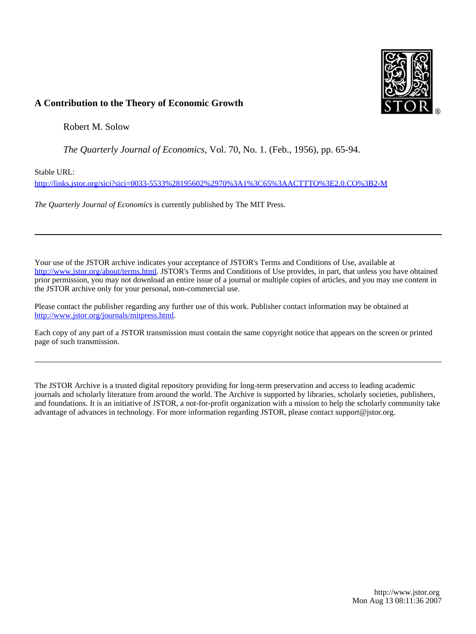

## **A Contribution to the Theory of Economic Growth**

Robert M. Solow

*The Quarterly Journal of Economics*, Vol. 70, No. 1. (Feb., 1956), pp. 65-94.

Stable URL:

<http://links.jstor.org/sici?sici=0033-5533%28195602%2970%3A1%3C65%3AACTTTO%3E2.0.CO%3B2-M>

*The Quarterly Journal of Economics* is currently published by The MIT Press.

Your use of the JSTOR archive indicates your acceptance of JSTOR's Terms and Conditions of Use, available at [http://www.jstor.org/about/terms.html.](http://www.jstor.org/about/terms.html) JSTOR's Terms and Conditions of Use provides, in part, that unless you have obtained prior permission, you may not download an entire issue of a journal or multiple copies of articles, and you may use content in the JSTOR archive only for your personal, non-commercial use.

Please contact the publisher regarding any further use of this work. Publisher contact information may be obtained at <http://www.jstor.org/journals/mitpress.html>.

Each copy of any part of a JSTOR transmission must contain the same copyright notice that appears on the screen or printed page of such transmission.

The JSTOR Archive is a trusted digital repository providing for long-term preservation and access to leading academic journals and scholarly literature from around the world. The Archive is supported by libraries, scholarly societies, publishers, and foundations. It is an initiative of JSTOR, a not-for-profit organization with a mission to help the scholarly community take advantage of advances in technology. For more information regarding JSTOR, please contact support@jstor.org.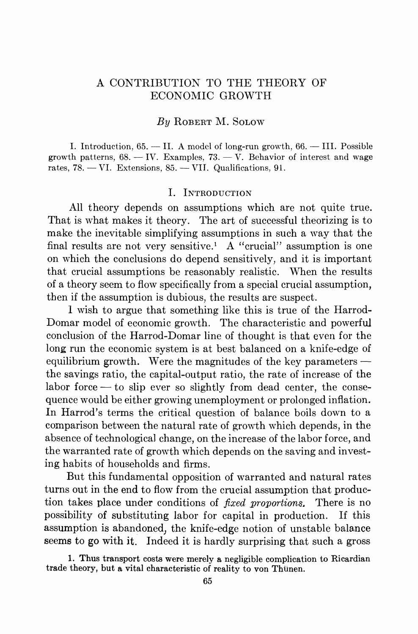### A CONTRIBUTIOX TO THE THEORY OF ECONOMIC GROWTH

By ROBERT M. SOLOW<br>I. Introduction, 65. — II. A model of long-run growth, 66. — III. Possible I. Introduction,  $65. -II$ . A model of long-run growth,  $66. -III$ . Possible growth patterns,  $68. -IV$ . Examples,  $73. -V$ . Behavior of interest and wage rates, 1. Introduction, 65. --- 11. A model of long-run growt.<br>
growth patterns, 68. --- IV. Examples, 73. --- V. Behavior<br>
rates, 78. --- VI. Extensions, 85. --- VII. Qualifications, 91.

#### I. INTRODUCTION

All theory depends on assumptions which are not quite true. That is what makes it theory. The art of successful theorizing is to make the inevitable simplifying assumptions in such a way that the final results are not very sensitive.<sup>1</sup> A "crucial" assumption is one on which the conclusions do depend sensitively, and it is important that crucial assumptions be reasonably realistic. When the results of a theory seem to flow specifically from a special crucial assumption, then if the assumption is dubious, the results arc suspect.

**1** wish to argue that something like this is true of the Harrod-Domar model of economic growth. The characteristic and powerful conclusion of the Harrod-Domar line of thought is that even for the long run the economic system is at best balanced on a knife-edge of equilibrium growth. Were the magnitudes of the key parameters  $$ the savings ratio, the capital-output ratio, the rate of increase of the equilibrium growth. Were the magnitudes of the key parameters —<br>the savings ratio, the capital-output ratio, the rate of increase of the<br>labor force — to slip ever so slightly from dead center, the consequence would be either growing unemployment or prolonged inflation. In Harrod's terms the critical question of balance boils down to a comparison between the natural rate of growth which depends, in the absence of technological change, on the increase of the labor force, and the warranted rate of growth which depends on the saving and investing habits of households and firms.

But this fundamental opposition of warranted and natural rates turns out in the end to flow from the crucial assumption that production takes place under conditions of *fixed* proportions. There is no possibility of substituting labor for capital in production. If this assumption is abandoned, the knife-edge notion of unstable balance seems to go with it. Indeed it is hardly surprising that such a gross

1. Thus transport costs were merely a negligible complication to Ricardian trade theory, but a vital characteristic of reality to von Thunen.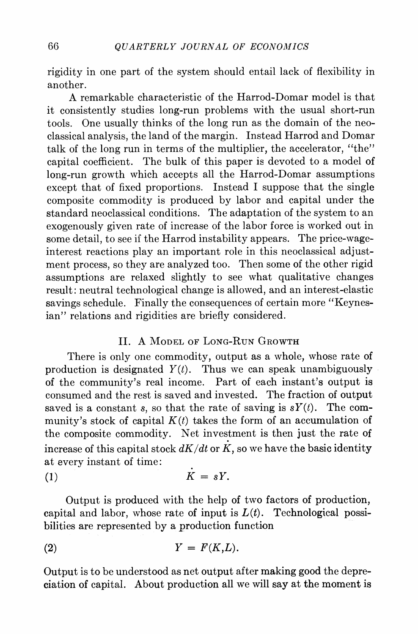rigidity in one part of the system should entail lack of flexibility in another.

A remarkable characteristic of the Harrod-Domar model is that it consistently studies long-run problems with the usual short-run tools. One usually thinks of the long run as the domain of the ncoclassical analysis, the land of the margin. Instead Harrod and Domar talk of the long run in terms of the multiplier, the accelerator, "the" capital coefficient. The bulk of this paper is devoted to a model of long-run growth which accepts all the Harrod-Domar assumptions except that of fixed proportions. Instead I suppose that the single composite commodity is produced by labor and capital under the standard neoclassical conditions. The adaptation of the system to an exogenously given rate of increase of the labor force is worked out in some detail, to see if the Harrod instability appears. The price-wageinterest reactions play an important role in this neoclassical adjustment process, so they are analyzed too. Then some of the other rigid assumptions arc relaxed slightly to see what qualitative changes result: neutral technological change is allowed, and an interest-elastic savings schedule. Finally the consequences of certain more "Keynesian" relations and rigidities are briefly considered.

#### II. A MODEL OF LONG-RUN GROWTH

There is only one commodity, output as a whole, whose rate of production is designated  $Y(t)$ . Thus we can speak unambiguously of the community's real income. Part of each instant's output is consumed and the rest is saved and invested. The fraction of output saved is a constant s, so that the rate of saving is  $sY(t)$ . The community's stock of capital  $K(t)$  takes the form of an accumulation of the composite commodity. Net investment is then just the rate of increase of this capital stock  $dK/dt$  or  $\dot{K}$ , so we have the basic identity at every instant of time:

$$
(1) \t\t K = sY.
$$

Output is produced with the help of two factors of production, capital and labor, whose rate of input is  $L(t)$ . Technological possibilities are represented by a production function

$$
(2) \t Y = F(K,L).
$$

Output is to be understood as net output after making good the depreciation of capital. About production all we will say at the moment is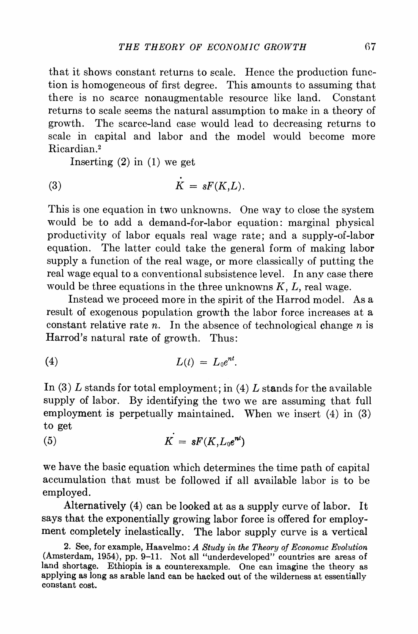that it shows constant returns to scale. Hence the production function is homogeneous of first degree. This amounts to assuming that there is no scarce nonaugmentable resource like land. Constant returns to scale seems the natural assumption to make in a theory of growth. The scarce-land case would lead to decreasing returns to scale in capital and labor and the model mould become more Ricardian.2

Inserting  $(2)$  in  $(1)$  we get

$$
\overset{\cdot}{K} = sF(K,L).
$$

This is one equation in two unknowns. One way to close the system would be to add a demand-for-labor equation: marginal physical productivity of labor equals real \lrage rate; and a supply-of-labor equation. The latter could take the general form of making labor supply a function of the real wage, or more classically of putting the real wage equal to a conventional subsistence level. In any case there would be three equations in the three unknowns  $K, L$ , real wage.

Instead we proceed more in the spirit of the Harrod model. As a result of exogenous population growth the labor force increases at a constant relative rate n. In the absence of technological change  $n$  is Harrod's natural rate of growth. Thus:

$$
(4) \hspace{3.1em} L(t) = L_0 e^{nt}.
$$

In (3) L stands for total employment; in (4) L stands for the available supply of labor. By identifying the two we are assuming that full employment is perpetually maintained. When we insert (4) in **(3)**  to get

$$
(5) \t K = sF(K,L_0e^{nt})
$$

we have the basic equation which determines the time path of capital accumulation that must be followed if all avaiIable labor is to be employed.

Alternatively (4) can be looked at as a supply curve of labor. It says that the exponentially growing labor force is offered for employment completely inelastically. The labor supply curve is a vertical

<sup>2.</sup> See, for example, Haavelmo: *A Study in the Theory of Economic Evolution* (Amsterdam, **1954),** pp. 9-11. Not all "underdeveloped" countries are areas of land shortage. Ethiopia is a counterexample. One can imagine the theory as applying as long as arable land can be hacked out of the wilderness at essentially constant cost.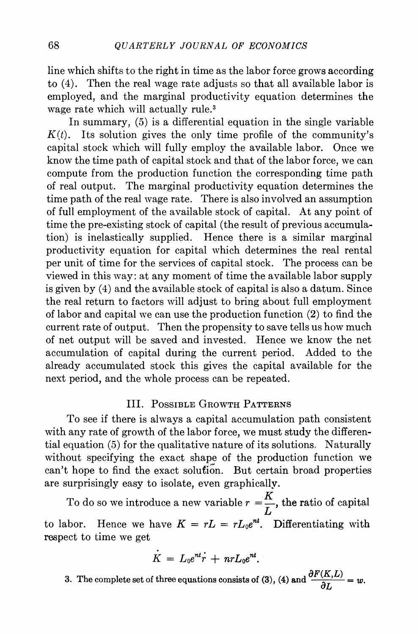line which shifts to the right in time as the labor force grows according to (4). Then the real wage rate adjusts so that all available labor is employed, and the marginal productivity equation determines the wage rate which will actually rule.<sup>3</sup>

In summary, (5) is a differential equation in the single variable  $K(t)$ . Its solution gives the only time profile of the community's capital stock which will fully employ the available labor. Once we know the time path of capital stock and that of the labor force, we can compute from the production function the corresponding time path of real output. The marginal productivity equation determines the time path of the real wage rate. There is also involved an assumption of full employment of the available stock of capital. At any point of time the pre-existing stock of capital (the result of previous accumulation) is inelastically supplied. Hence there is a similar marginal productivity equation for capital which determines the real rental per unit of time for the services of capital stock. The process can be viewed in this may: at any moment of time the available labor supply is given by (4) and the available stock of capital is also a datum. Since the real return to factors will adjust to bring about full employment of labor and capital we can use the production function (2) to find the current rate of output. Then the propensity to save tells us how much of net output will be saved and invested. Hence we know the net accumulation of capital during the current period. Added to the already accumulated stock this gives the capital available for the next period, and the whole process can be repeated.

#### **III.** POSSIBLE GROWTH PATTERNS

To see if there is always a capital accumulation path consistent with any rate of growth of the labor force, we must study the differential equation (5) for the qualitative nature of its solutions. Naturally without specifying the exact shape of the production function we can't hope to find the exact solution. But certain broad properties are surprisingly easy to isolate, even graphically.

To do so we introduce a new variable  $r = \frac{K}{L}$ , the ratio of capital to labor. Hence we have  $K = rL = rL_0e^{nt}$ . Differentiating with respect to time we get

$$
K = L_0 e^{nt} \dot{r} + nr L_0 e^{nt}.
$$

3. The complete set of three equations consists of (3), (4) and  $\frac{\partial F(K,L)}{\partial L}=w$ .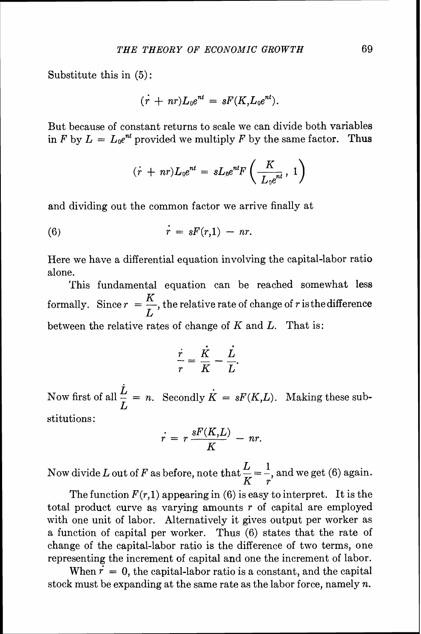Substitute this in (5):

$$
(\dot{r} + nr)L_0e^{nt} = sF(K,L_0e^{nt}).
$$

But because of constant returns to scale we can divide both variables in *F* by  $L = L_0 e^{nt}$  provided we multiply *F* by the same factor. Thus

$$
(\dot{r} + nr)L_0e^{nt} = sL_0e^{nt}F\left(\frac{K}{L_0e^{nt}}, 1\right)
$$

and dividing out the common factor we arrive finally at

(6) 
$$
\dot{r} = sF(r,1) - nr.
$$

Here we have a differential equation involving the capital-labor ratio alone.

This fundamental equation can be reached somewhat less formally. Since  $r = \frac{K}{L}$ , the relative rate of change of *r* is the difference between the relative rates of change of K and *L.* That is:

$$
\frac{\dot{r}}{r} = \frac{\dot{K}}{K} - \frac{\dot{L}}{L}.
$$

Now first of all  $\frac{\dot{L}}{L} = n$ . Secondly  $\dot{K} = sF(K,L)$ . Making these substitutions:

$$
\dot{r} = r \frac{sF(K,L)}{K} - nr.
$$

Now divide *L* out of *F* as before, note that  $\frac{L}{K} = \frac{1}{r}$ , and we get (6) again.

The function  $F(r,1)$  appearing in (6) is easy to interpret. It is the total product curve as varying amounts *r* of capital are employed with one unit of labor. Alternatively it gives output per worker as a function of capital per worker. Thus *(6)* states that the rate of change of the capital-labor ratio is the difference of two terms, one representing the increment of capital and one the increment of labor.

When  $\dot{r} = 0$ , the capital-labor ratio is a constant, and the capital stock must be expanding at the same rate as the labor force, namely  $n$ .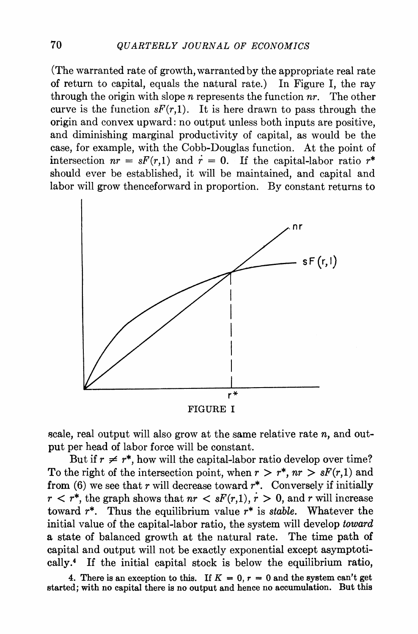(The warranted rate of growth, warrantedby the appropriate real rate of return to capital, equals the natural rate.) In Figure I, the ray through the origin with slope n represents the function  $nr$ . The other curve is the function  $sF(r,1)$ . It is here drawn to pass through the origin and convex upward: no output unless both inputs are positive, and diminishing marginal productivity of capital, as would be the case, for example, with the Cobb-Douglas function. At the point of intersection  $nr = sF(r,1)$  and  $r = 0$ . If the capital-labor ratio  $r^*$ should ever be established, it will be maintained, and capital and labor will grow thenceforward in proportion. By constant returns to



scale, real output will also grow at the same relative rate  $n$ , and output per head of labor force will be constant.

But if  $r \neq r^*$ , how will the capital-labor ratio develop over time? To the right of the intersection point, when  $r > r^*$ ,  $nr > sF(r,1)$  and from (6) we see that r will decrease toward  $r^*$ . Conversely if initially To the right of the intersection point, when  $r > r^*$ ,  $nr > s f'(r,1)$  and<br>from (6) we see that r will decrease toward  $r^*$ . Conversely if initially<br> $r < r^*$ , the graph shows that  $nr < s f'(r,1)$ ,  $r > 0$ , and r will increase toward  $r^*$ . Thus the equilibrium value  $r^*$  is *stable*. Whatever the initial value of the capital-labor ratio, the system will develop toward a state of balanced growth at the natural rate. The time path of capital and output will not be exactly exponential except asymptotically.<sup>4</sup> If the initial capital stock is below the equilibrium ratio,

**4.** There is an exception to this. If  $K = 0$ ,  $r = 0$  and the system can't get **started; with no capital there is no output and hence no accumulation. But this**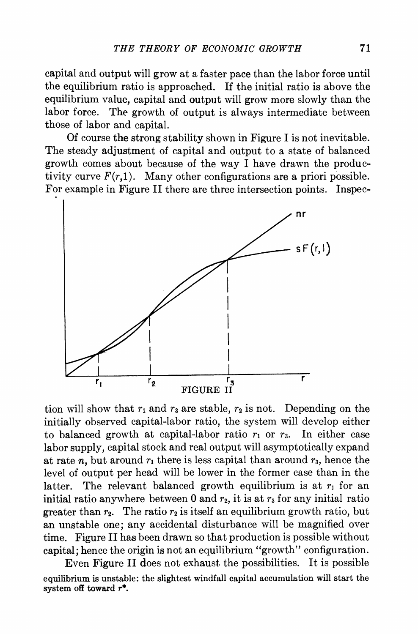capital and output will grow at a faster pace than the labor force until the equilibrium ratio is approached. If the initial ratio is above the equilibrium value, capital and output will grow more slowly than the labor force. The growth of output is always intermediate between those of labor and capital.

Of course the strong stability shown in Figure I is not inevitable. The steady adjustment of capital and output to a state of balanced growth comes about because of the way I have drawn the productivity curve  $F(r,1)$ . Many other configurations are a priori possible. For example in Figure II there are three intersection points. Inspec-



tion will show that  $r_1$  and  $r_3$  are stable,  $r_2$  is not. Depending on the initially observed capital-labor ratio, the system will develop either to balanced growth at capital-labor ratio  $r_1$  or  $r_3$ . In either case labor supply, capital stock and real output will asymptotically expand at rate  $n$ , but around  $r_1$  there is less capital than around  $r_3$ , hence the level of output per head will be lower in the former case than in the latter. The relevant balanced growth equilibrium is at  $r_1$  for an initial ratio anywhere between  $0$  and  $r_2$ , it is at  $r_3$  for any initial ratio greater than  $r_2$ . The ratio  $r_2$  is itself an equilibrium growth ratio, but an unstable one; any accidental disturbance will be magnified over time. Figure I1has been drawn so that production is possible without capital; hence the origin is not an equilibrium "growth" configuration.

Even Figure I1 does not exhaust the possibilities. It is possible equilibrium is unstable: the slightest windfall capital accumulation will start the system off **toward** *r\*.*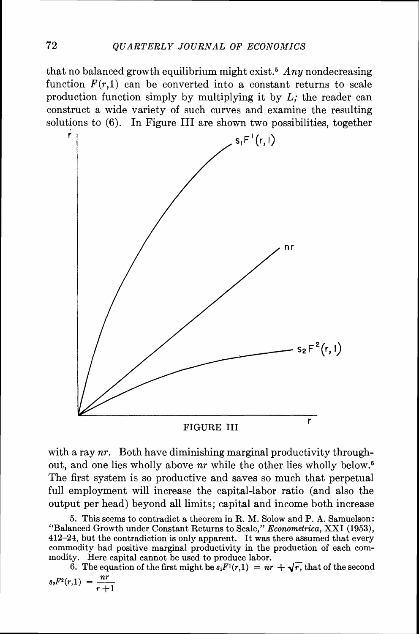that no balanced growth equilibrium might exist.<sup>5</sup> Any nondecreasing function  $F(r,1)$  can be converted into a constant returns to scale production function simply by multiplying it by  $L$ ; the reader can construct a wide variety of such curves and examine the resulting solutions to (6). In Figure I11 are shown two possibilities, together



FIGURE III

with a ray  $nr$ . Both have diminishing marginal productivity throughout, and one lies wholly above  $nr$  while the other lies wholly below.<sup>6</sup> The first system is so productive and saves so much that perpetual full employment will increase the capital-labor ratio (and also the output per head) beyond all limits; capital and income both increase

**5.** This seems to contradict a theorem in R. M. Solow and P. **A.** Samuelson: "Balanced Growth under Constant Returns to Scale," *Econmetrica,* XXI **(1953), 412-21,** but the contradiction is only apparent. It was there assumed that every commodity had positive marginal productivity in the production of each commodity. Here capital cannot be used to produce labor.

6. The equation of the first might be  $s_1F^1(r,1) = nr + \sqrt{r}$ , that of the second  $s_2F^2(r,1) = \frac{nr}{r+1}$ 

ŕ.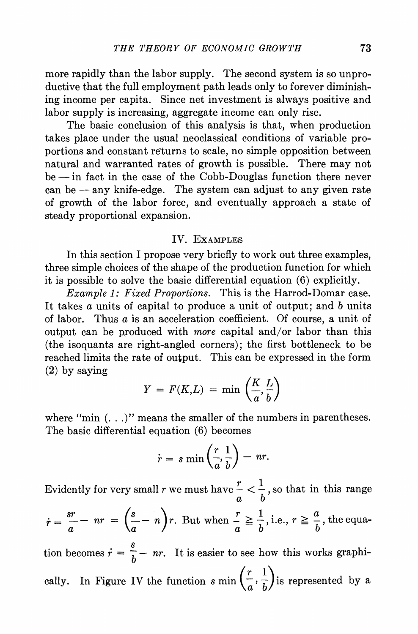more rapidly than the labor supply. The second system is so unproductive that the full employment path leads only to forever diminishing income per capita. Since net investment is always positive and labor supply is increasing, aggregate income can only rise.

The basic conclusion of this analysis is that, when production takes place under the usual neoclassical conditions of variable proportions and constant returns to scale, no simple opposition between natural and warranted rates of growth is possible. There may not  $be$  -in fact in the case of the Cobb-Douglas function there never can be  $-$  any knife-edge. The system can adjust to any given rate of growth of the labor force, and eventually approach a state of steady proportional expansion.

#### IV. EXAMPLES

In this section I propose very briefly to work out three examples, three simple choices of the shape of the production function for which it is possible to solve the basic differential equation (6) explicitly.

*Example* 1: *Fixed Proportions.* This is the Harrod-Domar case. It takes *a* units of capital to produce a unit of output; and *b* units of labor. Thus *a* is an acceleration coefficient. Of course, a unit of output can be produced with *more* capital and/or labor than this (the isoquants are right-angled corners); the first bottleneck to be reached limits the rate of output. This can be expressed in the form  $(2)$  by saying

$$
Y = F(K,L) = \min\left(\frac{K}{a}, \frac{L}{b}\right)
$$

where "min  $($ ...)" means the smaller of the numbers in parentheses. The basic differential equation (6) becomes

This is the smaller of the nur  
quation (6) becomes  

$$
\dot{r} = s \min \left( \frac{r}{a}, \frac{1}{b} \right) - nr.
$$

Evidently for very small r we must have 
$$
\frac{r}{a} < \frac{1}{b}
$$
, so that in this range  

$$
\dot{r} = \frac{sr}{a} - nr = \left(\frac{s}{a} - n\right)r.
$$
 But when  $\frac{r}{a} \ge \frac{1}{b}$ , i.e.,  $r \ge \frac{a}{b}$ , the equa-

tion becomes  $\dot{r} = \frac{s}{b} - nr$ . It is easier to see how this works graphically. In Figure IV the function  $s \min\left(\frac{r}{a}, \frac{1}{b}\right)$  is represented by a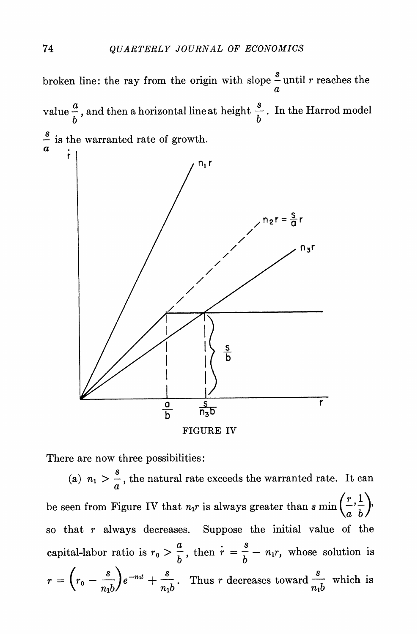



There are now three possibilities:

(a)  $n_1 > \frac{s}{a}$ , the natural rate exceeds the warranted rate. It can be seen from Figure IV that  $n_1r$  is always greater than  $s \min\left(\frac{r}{a}, \frac{1}{b}\right)$ ,<br>so that r always decreases. Suppose the initial value of the Suppose the *initial* value of the capital-labor ratio is  $r_0 > \frac{a}{b}$ , then  $\dot{r} = \frac{s}{b} - n_1 r$ , whose solution is  $\text{capital-labor ratio is } r_{\text{o}} > 0 \ \text{or} \ r = \left(r_{\text{o}} - \frac{s}{n_{\text{i}}b}\right)e^{-n_{\text{i}}t} + \frac{s}{n_{\text{i}}b}$ S  $\frac{a}{b}$ , then  $\dot{r} = \frac{s}{b} - n_1 r$ , whose s<br>Thus *r* decreases toward  $\frac{s}{n_1 b}$  $\frac{s}{n_1b}$ . Thus *r* decreases toward  $\frac{s}{n_1b}$  which is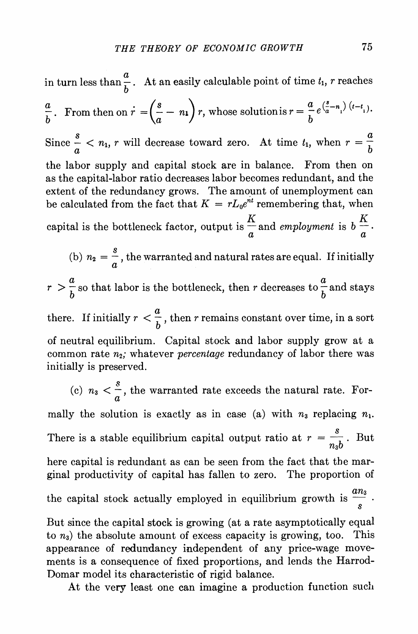in turn less than  $\frac{a}{b}$ . At an easily calculable point of time  $t_1$ ,  $r$  reaches  $\frac{a}{b}$ . From then on  $\dot{r} = \left(\frac{s}{a} - n_1\right) r$ , whose solution is  $r = \frac{a}{b} e^{\left(\frac{s}{a} - n_1\right) (t - t_1)}$ . Since  $\frac{s}{a} < n_1$ , r will decrease toward zero. At time  $t_1$ , when  $r = \frac{a}{b}$ the labor supply and capital stock are in balance. From then on as the capital-labor ratio decreases labor becomes redundant, and the extent of the redundancy grows. The amount of unemployment can be calculated from the fact that  $K = rL_0e^{nt}$  remembering that, when  $K$  and *molecumut* is  $K$ capital is the bottleneck factor, output is  $\frac{K}{a}$  and *employment* is  $b\frac{K}{a}$ . (b)  $n_2 = \frac{s}{a}$ , the warranted and natural rates are equal. If initially  $r > \frac{a}{b}$  so that labor is the bottleneck, then r decreases to  $\frac{a}{b}$  and stays there. If initially  $r < \frac{a}{b}$ , then r remains constant over time, in a sort of neutral equilibrium. Capital stock and labor supply grow at a common rate  $n_2$ ; whatever *percentage* redundancy of labor there was initially is preserved. (c)  $n_3 < \frac{s}{a}$ , the warranted rate exceeds the natural rate. Formally the solution is exactly as in case (a) with  $n_3$  replacing  $n_1$ . *S*  mally the solution is exactly as in case (a) with  $n_3$  replacing  $n_1$ .<br>There is a stable equilibrium capital output ratio at  $r = \frac{s}{n_3b}$ . But here capital is redundant as can be seen from the fact that the marginal productivity of capital has fallen to zero. The proportion of the capital stock actually employed in equilibrium growth is  $\frac{a n_3}{s}$ . But since the capital stock is growing (at a rate asymptotically equal to  $n_3$ ) the absolute amount of excess capacity is growing, too. This appearance of redundancy independent of any price-wage move-

ments is a consequence of fixed proportions, and lends the Harrod-Domar model its characteristic of rigid balance.

At the very least one can imagine a production function such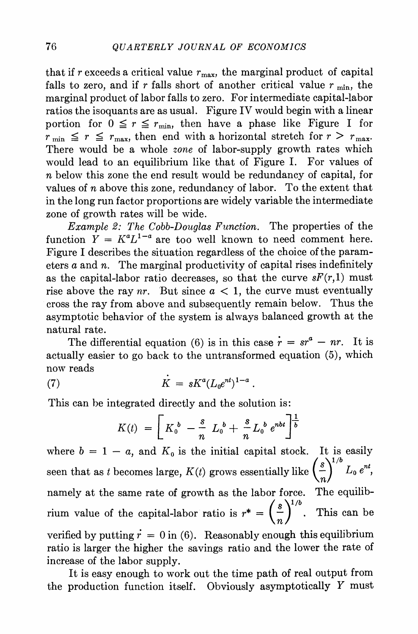that if r exceeds a critical value  $r_{\text{max}}$ , the marginal product of capital falls to zero, and if r falls short of another critical value  $r_{\min}$ , the marginal product of labor falls to zero. For intermediate capital-labor ratios the isoquants are as usual. Figure IV would begin with a linear portion for  $0 \leq r \leq r_{\min}$ , then have a phase like Figure I for  $r_{\min} \leq r \leq r_{\max}$ , then end with a horizontal stretch for  $r > r_{\max}$ . There would be a whole zone of labor-supply growth rates which would lead to an equilibrium like that of Figure I. For values of n below this zone the end result would be redundancy of capital, for values of n above this zone, redundancy of labor. To the extent that in the long run factor proportions are widely variable the intermediate zone of growth rates will be wide.

Example *2:* The Cobb-Douglas Function. The properties of the function  $Y = K^a L^{1-a}$  are too well known to need comment here. Figure I describes the situation regardless of the choice of the parameters  $a$  and  $n$ . The marginal productivity of capital rises indefinitely as the capital-labor ratio decreases, so that the curve  $sF(r,1)$  must rise above the ray *nr*. But since  $a < 1$ , the curve must eventually cross the ray from above and subsequently remain below. Thus the asymptotic behavior of the system is always balanced growth at the natural rate.

The differential equation (6) is in this case  $\dot{r}=sr^a-nr$ . It is actually easier to go back to the untransformed equation *(5),*which now reads

(7) 
$$
\dot{K} = sK^a(L_0e^{nt})^{1-a}.
$$

This can he integrated directly and the solution is:

$$
K(t) = \left[ K_0^b - \frac{s}{n} L_0^b + \frac{s}{n} L_0^b e^{nbt} \right]_0^{\frac{1}{b}}
$$

where  $b = 1 - a$ , and  $K_0$  is the initial capital stock. It is easily seen that as t becomes large,  $K(t)$  grows essentially like  $\left(\frac{s}{s}\right)^{1/2} L_0 e^{nt}$ , namely at the same rate of growth as the labor force. The equilibrium value of the capital-labor ratio is  $r^* = \left(\frac{s}{n}\right)^{1/2}$ . This can be verified by putting  $r = 0$  in (6). Reasonably enough this equilibrium ratio is larger the higher the savings ratio and the lower the rate of increase of the labor supply.

It is easy enough to work out the time path of real output from the production function itself. Obviously asymptotically  $Y$  must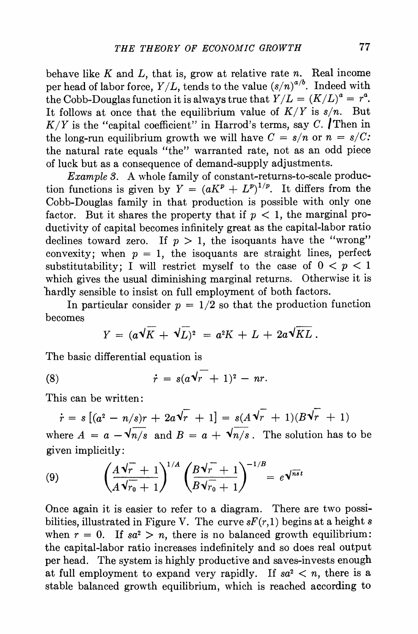behave like  $K$  and  $L$ , that is, grow at relative rate  $n$ . Real income per head of labor force,  $Y/L$ , tends to the value  $(s/n)^{a/b}$ . Indeed with the Cobb-Douglas function it is always true that  $Y/L = (K/L)^a = r^a$ . It follows at once that the equilibrium value of  $K/Y$  is  $s/n$ . But  $K/Y$  is the "capital coefficient" in Harrod's terms, say C. Then in the long-run equilibrium growth we will have  $C = s/n$  or  $n = s/C$ : the natural rate equals "the" warranted rate, not as an odd piece of luck but as a consequence of demand-supply adjustments.

Example 3. A whole family of constant-returns-to-scale production functions is given by  $Y = (aK^p + L^p)^{1/p}$ . It differs from the Cobb-Douglas family in that production is possible with only one factor. But it shares the property that if  $p < 1$ , the marginal productivity of capital becomes infinitely great as the capital-labor ratio declines toward zero. If  $p > 1$ , the isoquants have the "wrong" convexity; when  $p = 1$ , the isoquants are straight lines, perfect substitutability; I will restrict myself to the case of  $0 < p < 1$ which gives the usual diminishing marginal returns. Otherwise it is hardly sensible to insist on full employment of both factors.

In particular consider  $p = 1/2$  so that the production function becomes

$$
Y = (a\sqrt{K} + \sqrt{L})^2 = a^2K + L + 2a\sqrt{KL}.
$$

The basic differential equation is

(8) 
$$
\dot{r} = s(a\sqrt{r} + 1)^2 - nr.
$$

This can be written:

is can be written:<br>  $\dot{r} = s [(a^2 - n/s)r + 2a\sqrt{r} + 1] = s(A\sqrt{r} + 1)(B\sqrt{r} + 1)$ where  $A = a - \sqrt{n/s}$  and  $B = a + \sqrt{n/s}$ . The solution has to be given implicitly:

(9) 
$$
\left(\frac{A\sqrt{r}+1}{A\sqrt{r_0}+1}\right)^{1/A} \left(\frac{B\sqrt{r}+1}{B\sqrt{r_0}+1}\right)^{-1/B} = e^{\sqrt{n s}t}
$$

Once again it is easier to refer to a diagram. There are two possibilities, illustrated in Figure V. The curve  $sF(r,1)$  begins at a height  $s$ when  $r = 0$ . If  $sa^2 > n$ , there is no balanced growth equilibrium: the capital-labor ratio increases indefinitely and so does real output per head. The system is highly productive and saves-invests enough at full employment to expand very rapidly. If  $sa^2 < n$ , there is a stable balanced growth equilibrium, which is reached according to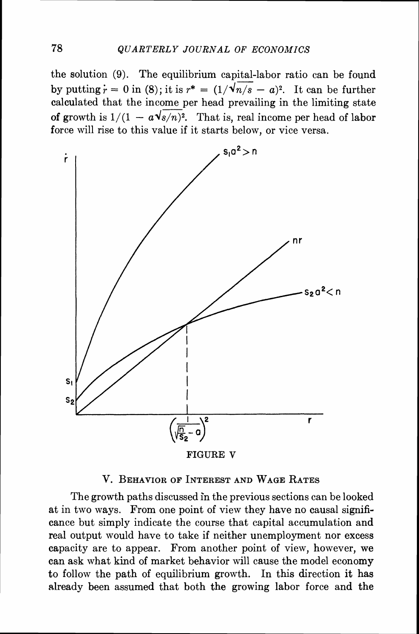78 QUARTERLY JOURNAL OF ECONOMICS<br>the solution (9). The equilibrium capital-labor ratio can be found<br>by putting  $\dot{r} = 0$  in (8); it is  $r^* = (1/\sqrt{n/s} - a)^2$ . It can be further the solution (9). The equilibrium capital-labor ratio can be found<br>by putting  $\dot{r} = 0$  in (8); it is  $r^* = (1/\sqrt{n/s} - a)^2$ . It can be further<br>calculated that the income per head prevailing in the limiting state<br>of growth is calculated that the income per head prevailing in the limiting state force will rise to this value if it starts below, or vice versa.



V. BEHAVIOR OF INTEREST AND WAGE RATES

The growth paths discussed in the previous sections can be looked at in two ways. From one point of view they have no causal significance but simply indicate the course that capital accumulation and real output would have to take if neither unemployment nor excess capacity are to appear. From another point of view, however, we can ask what kind of market behavior will cause the model economy to follow the path of equilibrium growth. In this direction it has already been assumed that both the growing labor force and the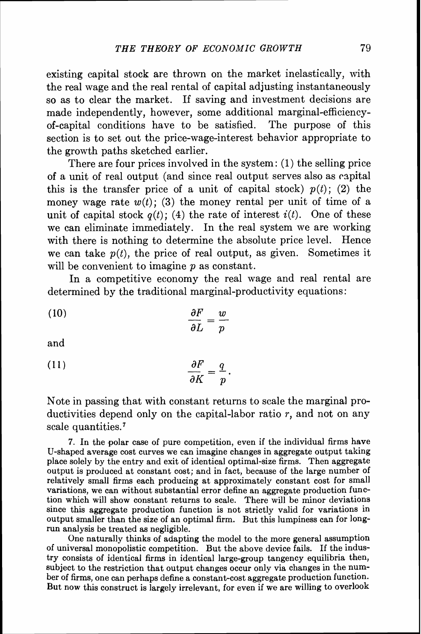existing capital stock are thrown on the market inelastically, with the real wage and the real rental of capital adjusting instantaneously so as to clear the market. If saving and investment decisions are made independently, however, some additional marginal-efficiencyof-capital conditions have to be satisfied. The purpose of this section is to set out the price-wage-interest behavior appropriate to the growth paths sketched earlier.

There are four prices involved in the system:  $(1)$  the selling price of a unit of real output (and since real output serves also as capital this is the transfer price of a unit of capital stock)  $p(t)$ ; (2) the money wage rate  $w(t)$ ; (3) the money rental per unit of time of a unit of capital stock  $q(t)$ ; (4) the rate of interest  $i(t)$ . One of these we can eliminate immediately. In the real system we are working with there is nothing to determine the absolute price level. Hence we can take  $p(t)$ , the price of real output, as given. Sometimes it will be convenient to imagine  $p$  as constant.

In a competitive economy the real wage and real rental are determined by the traditional marginal-productivity equations:

$$
\frac{\partial F}{\partial L} = \frac{w}{p}
$$

and

$$
\frac{\partial F}{\partial K} = \frac{q}{p}
$$

Note in passing that with constant returns to scale the marginal productivities depend only on the capital-labor ratio *r,* and not on any scale quantities.<sup>7</sup>

7. In the polar case of pure competition, even if the individual firms have U-shaped average cost curves we can imagine changes in aggregate output taking place solely by the entry and exit of identical optimal-size firms. Then aggregate output is produced at constant cost; and in fact, because of the large number of relatively small firms each producing at approximately constant cost for small variations, we can without substantial error define an aggregate production function which will show constant returns to scale. There will be minor deviations since this aggregate production function is not strictly valid for variations in output smaller than the size of an optimal firm. But this lumpiness can for longrun analysis be treated as negligible.

One naturally thinks of adapting the model to the more general assumption of universal monopolistic competition. But the above device fails. If the industry consists of identical firms in identical large-group tangency equilibria then, subject to the restriction that output changes occur only via changes in the number of firms, one can perhaps define a constant-cost aggregate production function. But now this construct is largely irrelevant, for even if we are willing to overlook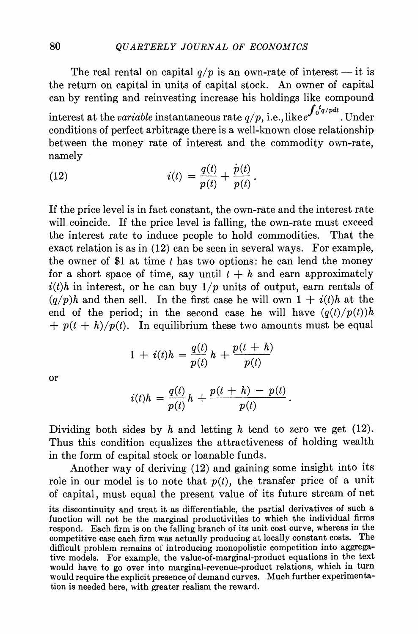The real rental on capital  $q/p$  is an own-rate of interest – it is the return on capital in units of capital stock. An owner of capital can by renting and reinvesting increase his holdings like compound interest at the *variable* instantaneous rate  $q/p$ , i.e., like  $e^{\int_0^t q/p dt}$ . Under conditions of perfect arbitrage there is a well-known close relationship between the money rate of interest and the commodity own-rate, namely  $\lambda$ 

(12) 
$$
i(t) = \frac{q(t)}{p(t)} + \frac{p(t)}{p(t)}.
$$

If the price level is in fact constant, the own-rate and the interest rate will coincide. If the price level is falling, the own-rate must exceed the interest rate to induce people to hold commodities. That the exact relation is as in (12) can be seen in several ways. For example, the owner of \$1 at time  $t$  has two options: he can lend the money for a short space of time, say until  $t + h$  and earn approximately  $i(t)h$  in interest, or he can buy  $1/p$  units of output, earn rentals of  $(q/p)h$  and then sell. In the first case he will own  $1 + i(t)h$  at the end of the period; in the second case he will have  $(q(t)/p(t))h$  $+ p(t + h)/p(t)$ . In equilibrium these two amounts must be equal

$$
1\,+\,i(t)h\,=\frac{q(t)}{p(t)}\,h\,+\frac{p(t\,+\,h)}{p(t)}
$$

or

$$
i(t)h = \frac{q(t)}{p(t)}h + \frac{p(t+h) - p(t)}{p(t)}
$$

Dividing both sides by h and letting h tend to zero we get  $(12)$ . Thus this condition equalizes the attractiveness of holding wealth in the form of capital stock or loanable funds.

Another way of deriving (12) and gaining some insight into its role in our model is to note that  $p(t)$ , the transfer price of a unit of capital, must equal the present value of its future stream of net its discontinuity and treat it as differentiable, the partial derivatives of such a function will not be the marginal productivities to which the individual firms respond. Each firm is on the falling branch of its unit cost curve, whereas in the competitive case each firm was actually producing at locally constant costs. The difficult problem remains of introducing monopolistic competition into aggregative models. For example, the value-of-marginal-product equations in the text would have to go over into marginal-revenue-product relations, which in turn would require the explicit presence of demand curves. Much further experimentation is needed here, with greater realism the reward.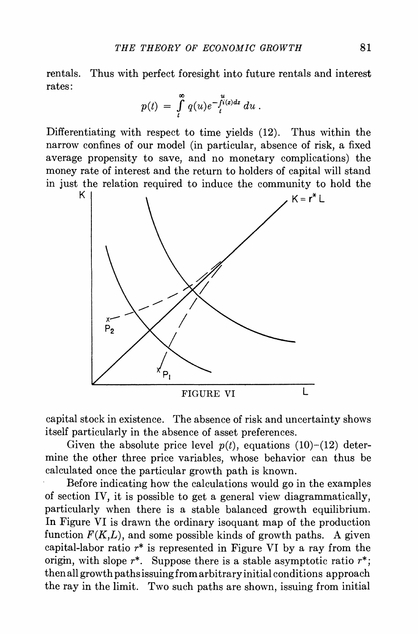rentals. Thus with perfect foresight into future rentals and interest rates :

$$
p(t) = \int\limits_t^\infty q(u)e^{-\int\limits_t^u (z)dz}\,du
$$

Differentiating with respect to time yields (12). Thus within the narrow confines of our model (in particular, absence of risk, a fixed average propensity to save, and no monetary complications) the money rate of interest and the return to holders of capital will stand in just the relation required to induce the community to hold the  $K \mid K = r^* L$ 



capital stock in existence. The absence of risk and uncertainty shows itself particularly in the absence of asset preferences.

Given the absolute price level  $p(t)$ , equations (10)-(12) determine the other three price variables, whose behavior can thus be calculated once the particular growth path is known.

Before indicating how the calculations would go in the examples of section IV, it is possible to get a general view diagrammatically, particularly when there is a stable balanced growth equilibrium. In Figure VI is drawn the ordinary isoquant map of the production function  $F(K,L)$ , and some possible kinds of growth paths. A given capital-labor ratio *r\** is represented in Figure VI by a ray from the origin, with slope *r\*.* Suppose there is a stable asymptotic ratio *r\*;*  thenall growth pathsissuing fromarbitrary initial conditions approach the ray in the limit. Two such paths are shown, issuing from initial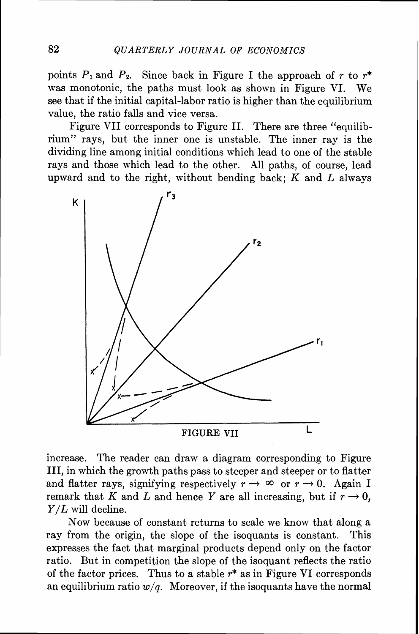points  $P_1$  and  $P_2$ . Since back in Figure I the approach of  $r$  to  $r^*$ was monotonic, the paths must look as shown in Figure VI. We see that if the initial capital-labor ratio is higher than the equilibrium value, the ratio falls and vice versa.

Figure VII corresponds to Figure 11. There are three "equilibrium" rays, but the inner one is unstable. The inner ray is the dividing line among initial conditions which lead to one of the stable rays and those which lead to the other. All paths, of course, lead upward and to the right, without bending back;  $K$  and  $L$  always



increase. The reader can draw a diagram corresponding to Figure 111,in which the growth paths pass to steeper and steeper or to flatter and flatter rays, signifying respectively  $r \rightarrow \infty$  or  $r \rightarrow 0$ . Again I remark that K and L and hence Y are all increasing, but if  $r \rightarrow 0$ , *Y/L* will decline.

Now because of constant returns to scale we know that along **a**  ray from the origin, the slope of the isoquants is constant. This expresses the fact that marginal products depend only on the factor ratio. But in competition the slope of the isoquant reflects the ratio of the factor prices. Thus to a stable *r\** as in Figure VI corresponds an equilibrium ratio  $w/q$ . Moreover, if the isoquants have the normal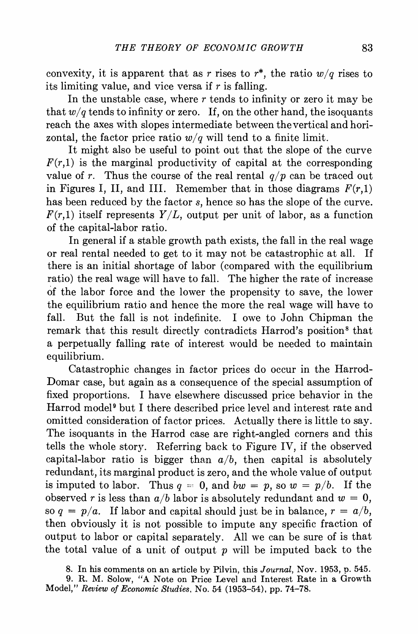convexity, it is apparent that as r rises to  $r^*$ , the ratio  $w/q$  rises to its limiting value, and vice versa if *r* is falling.

In the unstable case, where *r* tends to infinity or zero it may be that  $w/a$  tends to infinity or zero. If, on the other hand, the isoquants reach the axes with slopes intermediate between thevertical and horizontal, the factor price ratio  $w/q$  will tend to a finite limit.

It might also be useful to point out that the slope of the curve  $F(r,1)$  is the marginal productivity of capital at the corresponding value of *r*. Thus the course of the real rental  $q/p$  can be traced out in Figures I, II, and III. Remember that in those diagrams  $F(r,1)$ has been reduced by the factor s, hence so has the slope of the curve.  $F(r,1)$  itself represents  $Y/L$ , output per unit of labor, as a function of the capital-labor ratio.

In general if a stable growth path exists, the fall in the real wage or real rental needed to get to it may not be catastrophic at all. If there is an initial shortage of labor (compared with the equilibrium ratio) the real wage will have to fall. The higher the rate of increase of the labor force and the lower the propensity to save, the lower the equilibrium ratio and hence the more the real wage will have to fall. But the fall is not indefinite. I owe to John Chipman the remark that this result directly contradicts Harrod's position<sup>8</sup> that a perpetually falling rate of interest would be needed to maintain equilibrium.

Catastrophic changes in factor prices do occur in the Harrod-Domar case, but again as a consequence of the special assumption of fixed proportions. I have elsewhere discussed price behavior in the Harrod model<sup>9</sup> but I there described price level and interest rate and omitted consideration of factor prices. Actually there is little to say. The isoquants in the Harrod case are right-angled corners and this tells the whole story. Referring back to Figure IV, if the observed capital-labor ratio is bigger than  $a/b$ , then capital is absolutely redundant, its marginal product is zero, and the whole value of output is imputed to labor. Thus  $q = 0$ , and  $bw = p$ , so  $w = p/b$ . If the observed r is less than  $a/b$  labor is absolutely redundant and  $w = 0$ , so  $q = p/a$ . If labor and capital should just be in balance,  $r = a/b$ , then obviously it is not possible to impute any specific fraction of output to labor or capital separately. All we can be sure of is that the total value of a unit of output  $p$  will be imputed back to the

<sup>8.</sup> In his comments on an article by Pilvin, this *Journal,* Nov. **1953, p. 545. 9. R.** M. Solow, **"A** Note on Price Level and Interest Rate in a Growth Model," *Review* of *Economic Studies.* No. **54 (1953-54),** pp. **74-78.**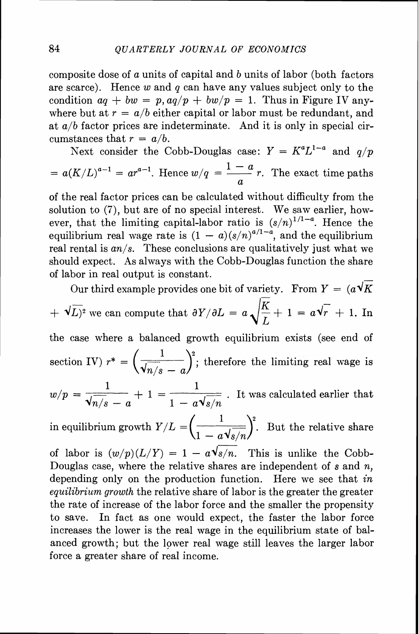composite dose of a units of capital and b units of labor (both factors are scarce). Hence  $w$  and  $q$  can have any values subject only to the condition  $aq + bw = p$ ,  $aq/p + bw/p = 1$ . Thus in Figure IV anywhere but at  $r = a/b$  either capital or labor must be redundant, and at  $a/b$  factor prices are indeterminate. And it is only in special circumstances that  $r = a/b$ .

Next consider the Cobb-Douglas case:  $Y = K^a L^{1-a}$  and  $q/p$ where but at  $r = a/b$  either capital or labor must be redundant, and<br>the  $a/b$  factor prices are indeterminate. And it is only in special cir-<br>cumstances that  $r = a/b$ .<br>Next consider the Cobb-Douglas case:  $Y = K^a L^{1-a}$  and  $q/p$ 

of the real factor prices can he calculated without difficulty from the solution to *(7),*but are of no special interest. We saw earlier, however, that the limiting capital-labor ratio is  $(s/n)^{1/1-a}$ . Hence the equilibrium real wage rate is  $(1 - a)(s/n)^{a/1-a}$ , and the equilibrium real rental is  $an/s$ . These conclusions are qualitatively just what we should expect. As always with the Cobb-Douglas function the share of labor in real output is constant.

Our third example provides one bit of variety. From  $Y = (a\sqrt{K})^{-1}$  $+\sqrt{L}$ <sup>2</sup> we can compute that  $\partial Y/\partial L = a\sqrt{\frac{K}{r}} + 1 = a\sqrt{r} + 1$ . In

the case where a balanced growth equilibrium exists (see end of section IV)  $r^* = \left(\frac{1}{\sqrt{n/s} - a}\right)^2$ ; therefore the limiting real wage is

 $w/p = \frac{1}{\sqrt{n/s} - a} + 1 = \frac{1}{1 - a\sqrt{s/n}}$ . It was calculated earlier that

1 in equilibrium growth  $Y/L = \left( \frac{1}{1 - s \sqrt{1 - s^2}} \right)^2$ . But the relative share

of labor is  $(w/p)(L/Y) = 1 - a\sqrt{s/n}$ . This is unlike the Cobb-Douglas case, where the relative shares are independent of  $s$  and  $n$ , depending only on the production function. Here we see that in equilibrium growth the relative share of labor is the greater the greater the rate of increase of the labor force and the smaller the propensity to save. In fact as one would expect, the faster the labor force increases the lower is the real wage in the equilibrium state of balanced growth; but the lower real wage still leaves the larger labor force a greater share of real income.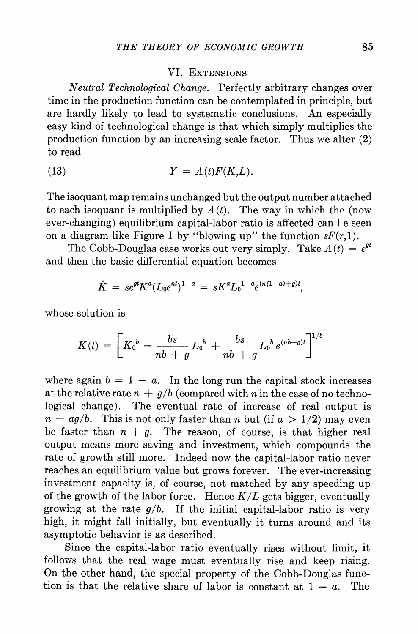#### VI. EXTENSIONS

Neutral Technological Change. Perfectly arbitrary changes over time in the production function can be contemplated in principle, but are hardly likely to lead to systematic conclusions. An especially easy kind of technological change is that which simply multiplies the production function by an increasing scale factor. Thus we alter (2) to read

(13) 
$$
Y = A(t)F(K,L).
$$

The isoquant map remains unchanged but the output number attached to each isoquant is multiplied by  $A(t)$ . The way in which the (now ever-changing) equilibrium capital-labor ratio is affected can 1 e seen on a diagram like Figure I by "blowing up" the function  $sF(r,1)$ .

The Cobb-Douglas case works out very simply. Take  $A(t) = e^{gt}$ and then the basic differential equation becomes

$$
\dot{K} = s e^{\theta t} K^a (L_0 e^{nt})^{1-a} = s K^a L_0^{1-a} e^{(n(1-a)+g)t},
$$

whose solution is

$$
K(t) = \left[K_0^b - \frac{bs}{nb + g} L_0^b + \frac{bs}{nb + g} L_0^b e^{(nb + g)t}\right]^{1/b}
$$

where again  $b = 1 - a$ . In the long run the capital stock increases at the relative rate  $n + q/b$  (compared with n in the case of no technological change). The eventual rate of increase of real output is  $n + \frac{aq}{b}$ . This is not only faster than n but (if  $a > 1/2$ ) may even be faster than  $n + g$ . The reason, of course, is that higher real output means more saving and investment, which compounds the rate of growth still more. Indeed now the capital-labor ratio never reaches an equilibrium value but grows forever. The ever-increasing investment capacity is, of course, not matched by any speeding up of the growth of the labor force. Hence  $K/L$  gets bigger, eventually growing at the rate  $g/b$ . If the initial capital-labor ratio is very high, it might fall initially, but eventually it turns around and its asymptotic behavior is as described.

Since the capital-labor ratio eventually rises without limit, it follows that the real wage must eventually rise and keep rising. On the other hand, the special property of the Cobb-Douglas function is that the relative share of labor is constant at  $1 - a$ . The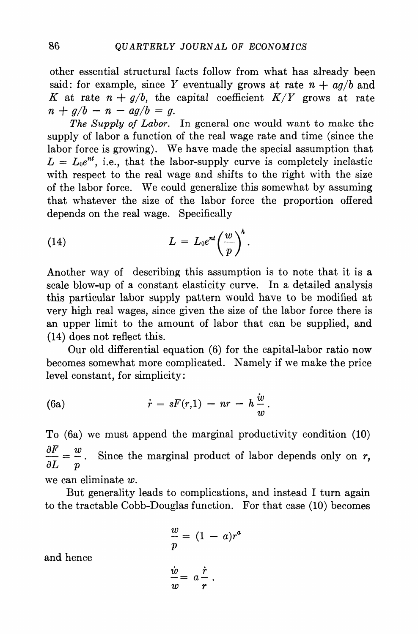other essential structural facts follow from what has already been said: for example, since Y eventually grows at rate  $n + ag/b$  and K at rate  $n + g/b$ , the capital coefficient  $K/Y$  grows at rate  $n + q/b - n - aq/b = q$ .

*The Supply of Labor.* In general one would want to make the supply of labor a function of the real wage rate and time (since the labor force is growing). We have made the special assumption that  $L = L_0 e^{nt}$ , i.e., that the labor-supply curve is completely inelastic with respect to the real wage and shifts to the right with the size of the labor force. We could generalize this somewhat by assuming that whatever the size of the labor force the proportion offered depends on the real wage. Specifically

(14) 
$$
L = L_0 e^{nt} \left(\frac{w}{p}\right)^h.
$$

Another way of describing this assumption is to note that it is a scale blow-up of a constant elasticity curve. In a detailed analysis this particular labor supply pattern would have to be modified at very high real wages, since given the size of the labor force there is an upper limit to the amount of labor that can be supplied, and (14) does not reflect this.

Our old differential equation (6) for the capital-labor ratio now becomes somewhat more complicated. Namely if we make the price level constant, for simplicity:

(6a) 
$$
\dot{r} = sF(r,1) - nr - h \frac{\dot{w}}{w}.
$$

To (6a) we must append the marginal productivity condition (10)  $\frac{\partial F}{\partial x} = \frac{w}{w}$ . Since the marginal product of labor depends only on r, *aL P* 

we can eliminate w.

But generality leads to complications, and instead I turn again to the tractable Cobb-Douglas function. For that case (10) becomes

$$
\frac{w}{p} = (1 - a)r^a
$$

and hence

$$
\frac{\dot w}{w} = a \, \frac{\dot r}{r} \; .
$$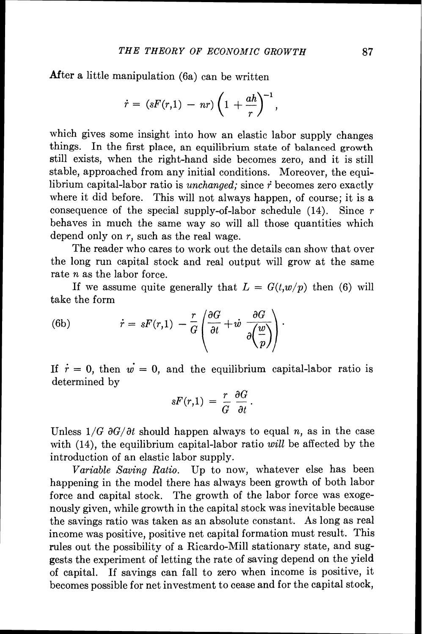After a little manipulation (6a) can be written

$$
\dot{r} = (sF(r,1) - nr)\left(1 + \frac{ah}{r}\right)^{-1},
$$

which gives some insight into how an elastic labor supply changes things. In the first place, an equilibrium *state* of **balanced growth**  still exists, when the right-hand side becomes zero, and it is still stable, approached from any initial conditions. Moreover, the equilibrium capital-labor ratio is *unchanged*; since  $\dot{r}$  becomes zero exactly where it did before. This will not always happen, of course; it is a consequence of the special supply-of-labor schedule (14). Since r behaves in much the same way so will all those quantities which depend only on r, such as the real wage.

The reader who cares to work out the details can show that over the long run capital stock and real output will grow at the same rate n as the labor force.

If we assume quite generally that  $L = G(t,w/p)$  then (6) will take the form

(6b) 
$$
\dot{r} = sF(r,1) - \frac{r}{G} \left( \frac{\partial G}{\partial t} + \dot{w} \frac{\partial G}{\partial \left( \frac{w}{p} \right)} \right).
$$

If  $\dot{r} = 0$ , then  $\dot{w} = 0$ , and the equilibrium capital-labor ratio is determined by

$$
sF(r,1) = \frac{r}{G} \frac{\partial G}{\partial t}.
$$

Unless  $1/G \frac{\partial G}{\partial t}$  should happen always to equal *n*, as in the case with  $(14)$ , the equilibrium capital-labor ratio will be affected by the introduction of an elastic labor supply.

Variable Saving Ratio. Up to now, whatever else has been happening in the model there has always been growth of both labor force and capital stock. The growth of the labor force was exogenously given, while growth in the capital stock was inevitable because the savings ratio was taken as an absolute constant. As long as real income was positive, positive net capital formation must result. This rules out the possibility of a Ricardo-Mill stationary state, and suggests the experiment of letting the rate of saving depend on the yield of capital. If savings can fall to zero when income is positive, it becomes possible for net investment to cease and for the capital stock,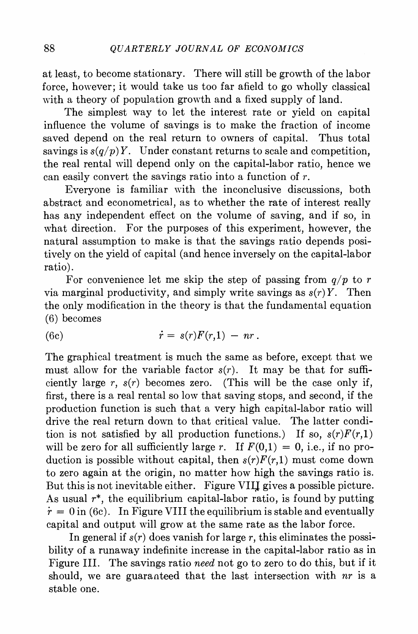at least, to become stationary. There will still be growth of the labor force, however; it would take us too far afield to go wholly classical with a theory of population growth and a fixed supply of land.

The simplest way to let the interest rate or yield on capital influence the volume of savings is to make the fraction of income saved depend on the real return to owners of capital. Thus total saved depend on the real return to owners of capital. savings is  $s(q/p)Y$ . Under constant returns to scale and competition, the real rental will depend only on the capital-labor ratio, hence we can easily convert the savings ratio into a function of r.

Everyone is familiar with the inconclusive discussions, both abstract and econometrical, as to whether the rate of interest really has any independent effect on the volume of saving, and if so, in what direction. For the purposes of this experiment, however, the natural assumption to make is that the savings ratio depends positively on the yield of capital (and hence inversely on the capital-labor ratio).

For convenience let me skip the step of passing from  $q/p$  to r via marginal productivity, and simply write savings as  $s(r)Y$ . Then the only modification in the theory is that the fundamental equation (6) becomes

(6c) 
$$
\dot{r} = s(r)F(r,1) - nr.
$$

The graphical treatment is much the same as before, except that we must allow for the variable factor  $s(r)$ . It may be that for sufficiently large r,  $s(r)$  becomes zero. (This will be the case only if, first, there is **a** real rental so low that saving stops, and second, if the production function is such that a very high capital-labor ratio will drive the real return down to that critical value. The latter condition is not satisfied by all production functions.) If so,  $s(r)F(r,1)$ will be zero for all sufficiently large r. If  $F(0,1) = 0$ , i.e., if no production is possible without capital, then  $s(r)F(r,1)$  must come down to zero again at the origin, no matter how high the savings ratio is. But this is not inevitable either. Figure VIII gives a possible picture. As usual  $r^*$ , the equilibrium capital-labor ratio, is found by putting  $\dot{r} = 0$  in (6c). In Figure VIII the equilibrium is stable and eventually capital and output will grow at the same rate as the labor force.

In general if  $s(r)$  does vanish for large r, this eliminates the possibility of a runaway indefinite increase in the capital-labor ratio as in Figure 111. The savings ratio need not go to zero to do this, but if it should, we are guaranteed that the last intersection with  $nr$  is a stable one.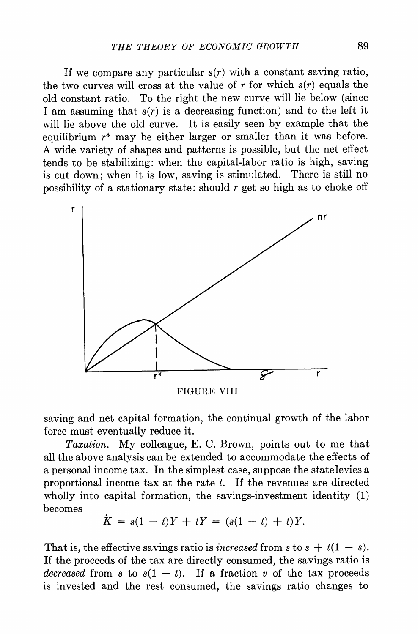If we compare any particular  $s(r)$  with a constant saving ratio. the two curves will cross at the value of  $r$  for which  $s(r)$  equals the old constant ratio. To the right the new curve will lie below (since I am assuming that *s(r)* is a decreasing function) and to the left it will lie above the old curve. It is easily seen by example that the equilibrium *r\** may be either larger or smaller than it was before. A wide variety of shapes and patterns is possible, but the net effect tends to be stabilizing: when the capital-labor ratio is high, saving is cut down; when it is low, saving is stimulated. There is still no possibility of a stationary state: should *r* get so high as to choke off



FIGURE VIII

saving and net capital formation, the continual growth of the labor force must eventually reduce it.

*Taxation.* My colleague, *E.* C. Brown, points out to me that all the above analysis can be extended to accommodate the effects of a personal income tax. In the simplest case, suppose the statelevies a proportional income tax at the rate *t.* If the revenues are directed wholly into capital formation, the savings-investment identity *(1)*  becomes .  $\dot{K} = s(1 - t)Y + tY = (s(1 - t) + t)Y.$ 

$$
K = s(1 - t)Y + tY = (s(1 - t) + t)Y.
$$

That is, the effective savings ratio is *increased* from  $s$  to  $s + t(1 - s)$ . If the proceeds of the tax are directly consumed, the savings ratio is *decreased* from *s* to  $s(1 - t)$ . If a fraction *v* of the tax proceeds is invested and the rest consumed, the savings ratio changes to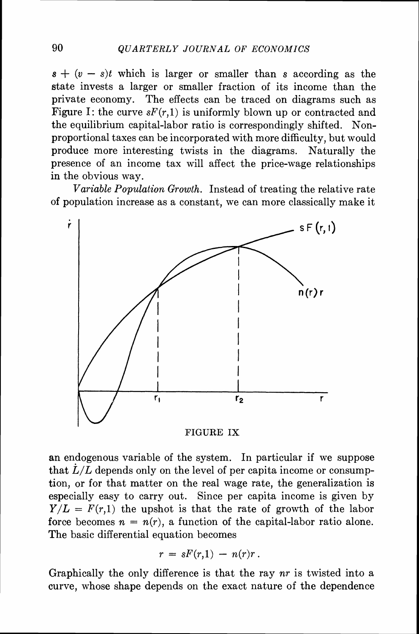$s + (v - s)t$  which is larger or smaller than s according as the state invests a larger or smaller fraction of its income than the private economy. The effects can be traced on diagrams such as Figure I: the curve  $sF(r,1)$  is uniformly blown up or contracted and the equilibrium capital-labor ratio is correspondingly shifted. Nonproportional taxes can be incorporated with more difficulty, but would produce more interesting twists in the diagrams. Naturally the presence of an income tax will affect the price-wage relationships in the obvious way.

Variable Population Growth. Instead of treating the relative rate of population increase as a constant, we can more classically make it



an endogenous variable of the system. In particular if we suppose that  $\dot{L}/L$  depends only on the level of per capita income or consumption, or for that matter on the real wage rate, the generalization is especially easy to carry out. Since per capita income is given by  $Y/L = F(r,1)$  the upshot is that the rate of growth of the labor force becomes  $n = n(r)$ , a function of the capital-labor ratio alone. The basic differential equation becomes

$$
r = sF(r,1) - n(r)r.
$$

Graphically the only difference is that the ray  $nr$  is twisted into a curve, whose shape depends on the exact nature of the dependence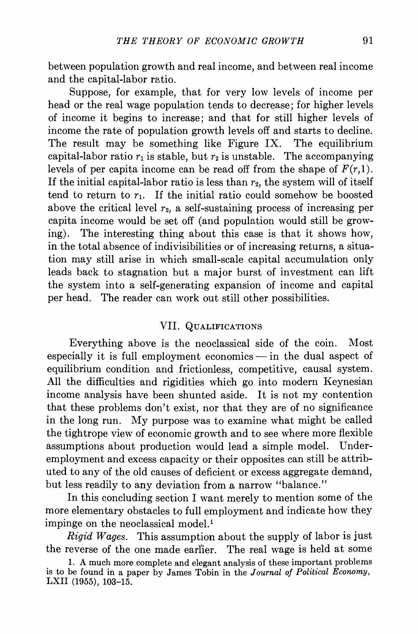between population growth and real income, and between real income and the capital-labor ratio.

Suppose, for example, that for very low levels of income per head or the real wage population tends to decrease; for higher levels of income it begins to increase; and that for still higher levels of income the rate of population growth levels off and starts to decline. The result may be something like Figure IX. The equilibrium capital-labor ratio  $r_1$  is stable, but  $r_2$  is unstable. The accompanying levels of per capita income can be read off from the shape of  $F(r,1)$ . If the initial capital-labor ratio is less than  $r_2$ , the system will of itself tend to return to  $r_1$ . If the initial ratio could somehow be boosted above the critical level  $r_2$ , a self-sustaining process of increasing per capita income would be set off (and population would still be growing). The interesting thing about this case is that it shows how, in the total absence of indivisibilities or of increasing returns, a situation may still arise in which small-scale capital accumulation only leads back to stagnation but a major burst of investment can lift the system into a self-generating expansion of income and capital per head. The reader can work out still other possibilities.

#### VII. QUALIFICATIONS

Everything above is the neoclassical side of the coin. Most especially it is full employment economics  $-$  in the dual aspect of equilibrium condition and frictionless, competitive, causal system. All the difficulties and rigidities which go into modern Keynesian income analysis have been shunted aside. It is not my contention that these problems don't exist, nor that they are of no significance in the long run. My purpose was to examine what might be called the tightrope view of economic growth and to see where more flexible assumptions about production would lead a simple model. Underemployment and excess capacity or their opposites can still be attributed to any of the old causes of deficient or excess aggregate demand, but less readily to any deviation from a narrow "balance."

In this concluding section I want merely to mention some of the more elementary obstacles to full employment and indicate how they impinge on the neoclassical model.<sup>1</sup>

**Rigid** Wages. This assumption about the supply of labor is just the reverse of the one made earfier. The real wage is held at some

<sup>1.</sup> A much more complete and elegant analysis of these important problems is to be found in a paper by James Tobin in the *Journal of Political Economy,*  LXII (1955), 103-15.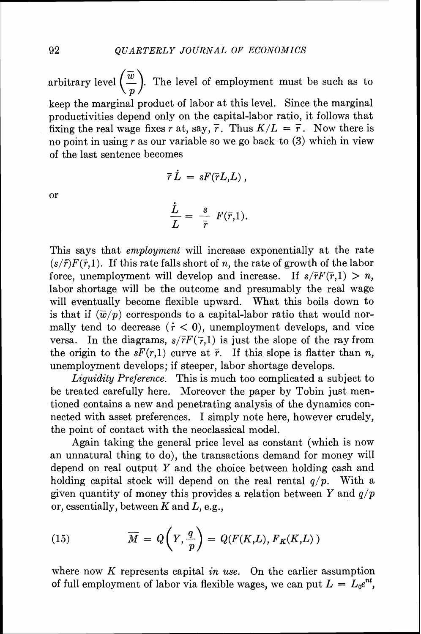arbitrary level  $\left(\frac{\overline{w}}{m}\right)$ . The level of employment must be such as to keep the marginal product of labor at this level. Since the marginal productivities depend only on the capital-labor ratio, it follows that fixing the real wage fixes r at, say,  $\overline{r}$ . Thus  $K/L = \overline{r}$ . Now there is no point in using r as our variable so we go back to **(3)** which in view of the last sentence becomes

$$
\bar{r}\dot{L} = sF(\bar{r}L,L) ,
$$

or

$$
\frac{\dot{L}}{L} = \frac{s}{\bar{r}} F(\bar{r},1).
$$

This says that employment will increase exponentially at the rate  $(s/\tilde{r})F(\tilde{r},1)$ . If this rate falls short of n, the rate of growth of the labor force, unemployment will develop and increase. If  $s/\overline{r}F(\overline{r},1) > n$ , labor shortage will be the outcome and presumably the real wage will eventually become flexible upward. What this boils down to is that if  $(\bar{w}/p)$  corresponds to a capital-labor ratio that would normally tend to decrease  $(i < 0)$ , unemployment develops, and vice versa. In the diagrams,  $s/\overline{r}F(\overline{r},1)$  is just the slope of the ray from the origin to the  $sF(r,1)$  curve at  $\overline{r}$ . If this slope is flatter than *n*, unemployment develops; if steeper, labor shortage develops.

Liquidity Preference. This is much too complicated a subject to be treated carefully here. Moreover the paper by Tobin just mentioned contains a new and penetrating analysis of the dynamics connected with asset preferences. I simply note here, however crudely, the point of contact with the neoclassical model.

Again taking the general price level as constant (which is now an unnatural thing to do), the transactions demand for money will depend on real output  $Y$  and the choice between holding cash and holding capital stock will depend on the real rental  $q/p$ . With a given quantity of money this provides a relation between Y and  $q/p$ or, essentially, between  $K$  and  $L$ , e.g.,

(15) 
$$
\overline{M} = Q\left(Y, \frac{q}{p}\right) = Q(F(K, L), F_K(K, L))
$$

where now  $K$  represents capital in use. On the earlier assumption of full employment of labor via flexible wages, we can put  $L = L_0 e^{nt}$ ,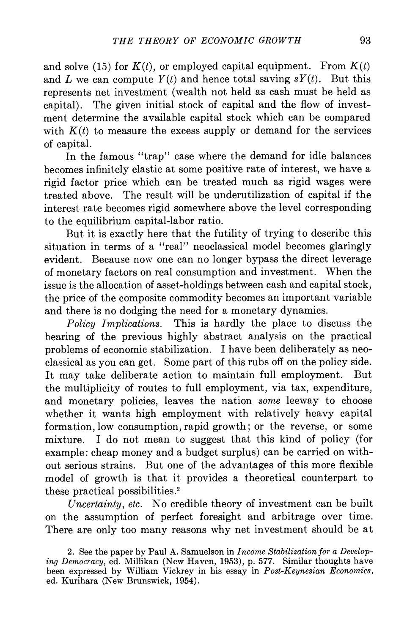and solve (15) for  $K(t)$ , or employed capital equipment. From  $K(t)$ and L we can compute  $Y(t)$  and hence total saving  $sY(t)$ . But this represents net investment (wealth not held as cash must be held as capital). The given initial stock of capital and the flow of investment determine the available capital stock which can be compared with  $K(t)$  to measure the excess supply or demand for the services of capital.

In the famous "trap" case where the demand for idle balances becomes infinitely elastic at some positive rate of interest, we have a rigid factor price which can be treated much as rigid wages were treated above. The result will be underutilization of capital if the interest rate becomes rigid somewhere above the level corresponding to the equilibrium capital-labor ratio.

But it is exactly here that the futility of trying to describe this situation in terms of a "real" neoclassical model becomes glaringly evident. Because now one can no longer bypass the direct leverage of monetary factors on real consumption and investment. When the issue is the allocation of asset-holdings between cash and capital stock, the price of the composite commodity becomes an important variable and there is no dodging the need for a monetary dynamics.

Policy Implications. This is hardly the place to discuss the bearing of the previous highly abstract analysis on the practical problems of economic stabilization. I have been deliberately as neoclassical as you can get. Some part of this rubs off on the policy side. It may take deliberate action to maintain full employment. But the multiplicity of routes to full employment, via tax, expenditure, and monetary policies, leaves the nation some leeway to choose whether it wants high employment with relatively heavy capital formation, low consumption, rapid growth; or the reverse, or some mixture. I do not mean to suggest that this kind of policy (for example: cheap money and a budget surplus) can be carried on without serious strains. But one of the advantages of this more flexible model of growth is that it provides a theoretical counterpart to these practical possibilities. $2$ 

Uncertainty, etc. No credible theory of investment can be built on the assumption of perfect foresight and arbitrage over time. There are only too many reasons why net investment should be at

<sup>2.</sup> See the paper by Paul A. Samuelson in *Income Stabilization for a Developing Democracy,* ed. Millikan (New Haven, **1953),** p. 577. Similar thoughts have been expressed by William Vickrey in his essay in *Post-Keynesian Economics.*  ed. Kurihara (New Brunswick, 1954).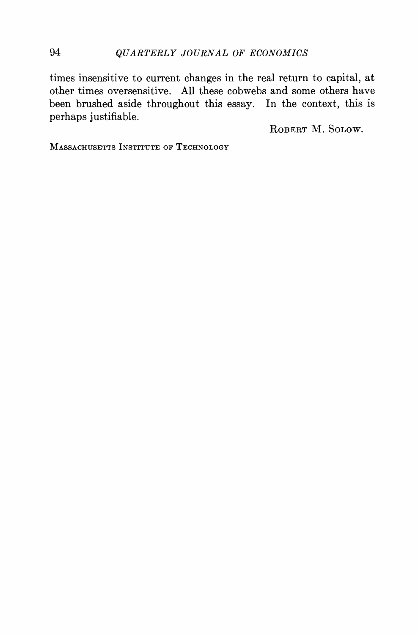times insensitive to current changes in the real return to capital, at other times oversensitive. All these cobwebs and some others have been brushed aside throughout this essay. In the context, this is perhaps justifiable.

ROBERT M. SOLOW.

MASSACHUSETTS INSTITUTE OF TECHNOLOGY